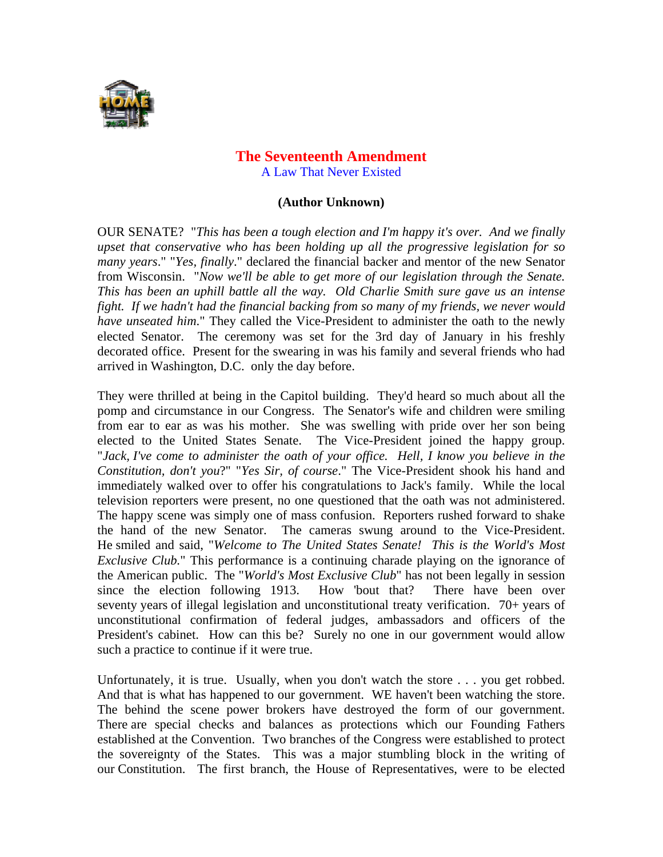

## **The Seventeenth Amendment**  A Law That Never Existed

## **(Author Unknown)**

OUR SENATE? "*This has been a tough election and I'm happy it's over. And we finally upset that conservative who has been holding up all the progressive legislation for so many years*." "*Yes, finally*." declared the financial backer and mentor of the new Senator from Wisconsin. "*Now we'll be able to get more of our legislation through the Senate. This has been an uphill battle all the way. Old Charlie Smith sure gave us an intense fight. If we hadn't had the financial backing from so many of my friends, we never would have unseated him*." They called the Vice-President to administer the oath to the newly elected Senator. The ceremony was set for the 3rd day of January in his freshly decorated office. Present for the swearing in was his family and several friends who had arrived in Washington, D.C. only the day before.

They were thrilled at being in the Capitol building. They'd heard so much about all the pomp and circumstance in our Congress. The Senator's wife and children were smiling from ear to ear as was his mother. She was swelling with pride over her son being elected to the United States Senate. The Vice-President joined the happy group. "*Jack, I've come to administer the oath of your office. Hell, I know you believe in the Constitution, don't you*?" "*Yes Sir, of course*." The Vice-President shook his hand and immediately walked over to offer his congratulations to Jack's family. While the local television reporters were present, no one questioned that the oath was not administered. The happy scene was simply one of mass confusion. Reporters rushed forward to shake the hand of the new Senator. The cameras swung around to the Vice-President. He smiled and said, "*Welcome to The United States Senate! This is the World's Most Exclusive Club.*" This performance is a continuing charade playing on the ignorance of the American public. The "*World's Most Exclusive Club*" has not been legally in session since the election following 1913. How 'bout that? There have been over seventy years of illegal legislation and unconstitutional treaty verification. 70+ years of unconstitutional confirmation of federal judges, ambassadors and officers of the President's cabinet. How can this be? Surely no one in our government would allow such a practice to continue if it were true.

Unfortunately, it is true. Usually, when you don't watch the store . . . you get robbed. And that is what has happened to our government. WE haven't been watching the store. The behind the scene power brokers have destroyed the form of our government. There are special checks and balances as protections which our Founding Fathers established at the Convention. Two branches of the Congress were established to protect the sovereignty of the States. This was a major stumbling block in the writing of our Constitution. The first branch, the House of Representatives, were to be elected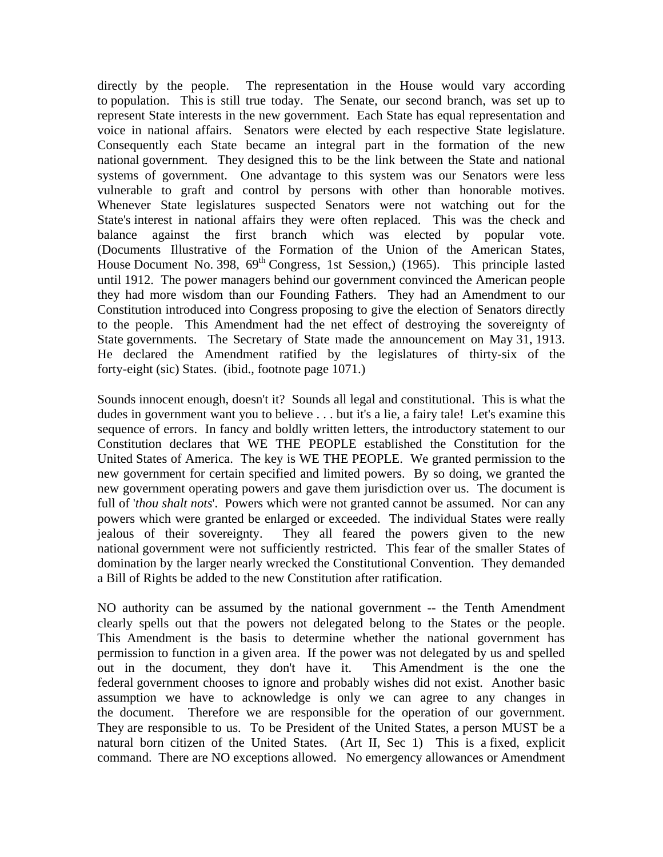directly by the people. The representation in the House would vary according to population. This is still true today. The Senate, our second branch, was set up to represent State interests in the new government. Each State has equal representation and voice in national affairs. Senators were elected by each respective State legislature. Consequently each State became an integral part in the formation of the new national government. They designed this to be the link between the State and national systems of government. One advantage to this system was our Senators were less vulnerable to graft and control by persons with other than honorable motives. Whenever State legislatures suspected Senators were not watching out for the State's interest in national affairs they were often replaced. This was the check and balance against the first branch which was elected by popular vote. (Documents Illustrative of the Formation of the Union of the American States, House Document No. 398,  $69<sup>th</sup>$  Congress, 1st Session,) (1965). This principle lasted until 1912. The power managers behind our government convinced the American people they had more wisdom than our Founding Fathers. They had an Amendment to our Constitution introduced into Congress proposing to give the election of Senators directly to the people. This Amendment had the net effect of destroying the sovereignty of State governments. The Secretary of State made the announcement on May 31, 1913. He declared the Amendment ratified by the legislatures of thirty-six of the forty-eight (sic) States. (ibid., footnote page 1071.)

Sounds innocent enough, doesn't it? Sounds all legal and constitutional. This is what the dudes in government want you to believe . . . but it's a lie, a fairy tale! Let's examine this sequence of errors. In fancy and boldly written letters, the introductory statement to our Constitution declares that WE THE PEOPLE established the Constitution for the United States of America. The key is WE THE PEOPLE. We granted permission to the new government for certain specified and limited powers. By so doing, we granted the new government operating powers and gave them jurisdiction over us. The document is full of '*thou shalt nots*'. Powers which were not granted cannot be assumed. Nor can any powers which were granted be enlarged or exceeded. The individual States were really jealous of their sovereignty. They all feared the powers given to the new national government were not sufficiently restricted. This fear of the smaller States of domination by the larger nearly wrecked the Constitutional Convention. They demanded a Bill of Rights be added to the new Constitution after ratification.

NO authority can be assumed by the national government -- the Tenth Amendment clearly spells out that the powers not delegated belong to the States or the people. This Amendment is the basis to determine whether the national government has permission to function in a given area. If the power was not delegated by us and spelled out in the document, they don't have it. This Amendment is the one the federal government chooses to ignore and probably wishes did not exist. Another basic assumption we have to acknowledge is only we can agree to any changes in the document. Therefore we are responsible for the operation of our government. They are responsible to us. To be President of the United States, a person MUST be a natural born citizen of the United States. (Art II, Sec 1) This is a fixed, explicit command. There are NO exceptions allowed. No emergency allowances or Amendment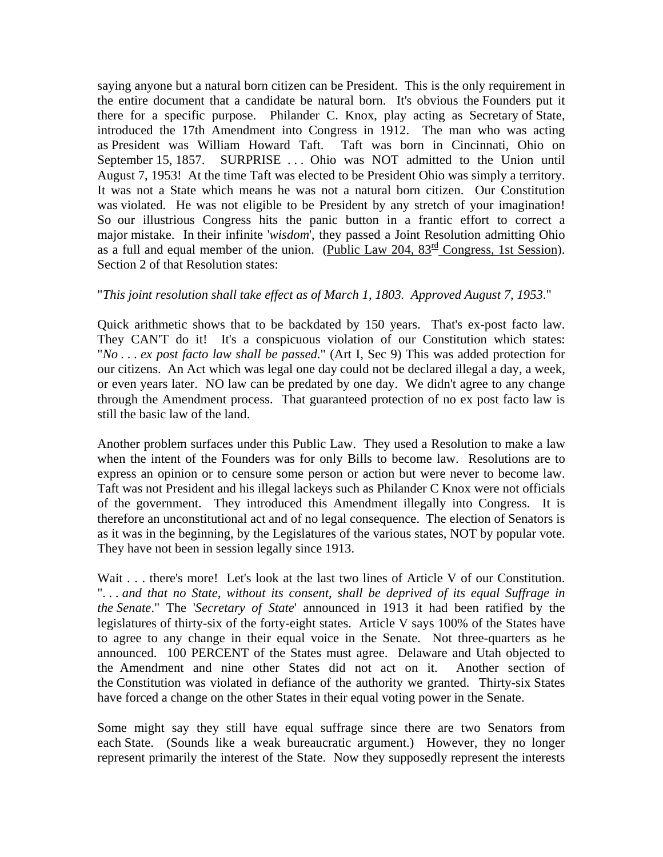saying anyone but a natural born citizen can be President. This is the only requirement in the entire document that a candidate be natural born. It's obvious the Founders put it there for a specific purpose. Philander C. Knox, play acting as Secretary of State, introduced the 17th Amendment into Congress in 1912. The man who was acting as President was William Howard Taft. Taft was born in Cincinnati, Ohio on September 15, 1857. SURPRISE ... Ohio was NOT admitted to the Union until August 7, 1953! At the time Taft was elected to be President Ohio was simply a territory. It was not a State which means he was not a natural born citizen. Our Constitution was violated. He was not eligible to be President by any stretch of your imagination! So our illustrious Congress hits the panic button in a frantic effort to correct a major mistake. In their infinite '*wisdom*', they passed a Joint Resolution admitting Ohio as a full and equal member of the union. (Public Law 204,  $83^{\text{rd}}$  Congress, 1st Session). Section 2 of that Resolution states:

## "*This joint resolution shall take effect as of March 1, 1803. Approved August 7, 1953*."

Quick arithmetic shows that to be backdated by 150 years. That's ex-post facto law. They CAN'T do it! It's a conspicuous violation of our Constitution which states: "*No . . . ex post facto law shall be passed*." (Art I, Sec 9) This was added protection for our citizens. An Act which was legal one day could not be declared illegal a day, a week, or even years later. NO law can be predated by one day. We didn't agree to any change through the Amendment process. That guaranteed protection of no ex post facto law is still the basic law of the land.

Another problem surfaces under this Public Law. They used a Resolution to make a law when the intent of the Founders was for only Bills to become law. Resolutions are to express an opinion or to censure some person or action but were never to become law. Taft was not President and his illegal lackeys such as Philander C Knox were not officials of the government. They introduced this Amendment illegally into Congress. It is therefore an unconstitutional act and of no legal consequence. The election of Senators is as it was in the beginning, by the Legislatures of the various states, NOT by popular vote. They have not been in session legally since 1913.

Wait . . . there's more! Let's look at the last two lines of Article V of our Constitution. "*. . . and that no State, without its consent, shall be deprived of its equal Suffrage in the Senate*." The '*Secretary of State*' announced in 1913 it had been ratified by the legislatures of thirty-six of the forty-eight states. Article V says 100% of the States have to agree to any change in their equal voice in the Senate. Not three-quarters as he announced. 100 PERCENT of the States must agree. Delaware and Utah objected to the Amendment and nine other States did not act on it. Another section of the Constitution was violated in defiance of the authority we granted. Thirty-six States have forced a change on the other States in their equal voting power in the Senate.

Some might say they still have equal suffrage since there are two Senators from each State. (Sounds like a weak bureaucratic argument.) However, they no longer represent primarily the interest of the State. Now they supposedly represent the interests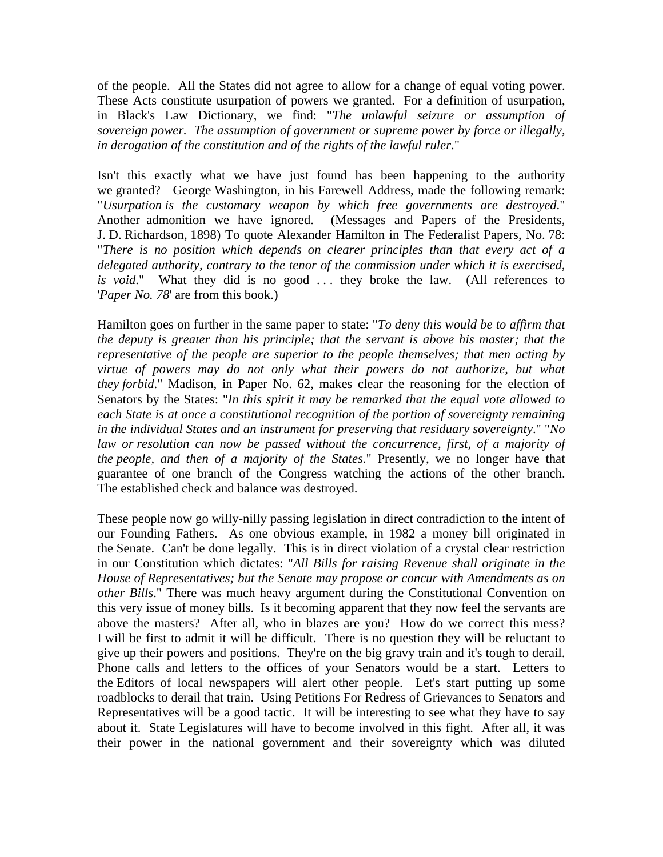of the people. All the States did not agree to allow for a change of equal voting power. These Acts constitute usurpation of powers we granted. For a definition of usurpation, in Black's Law Dictionary, we find: "*The unlawful seizure or assumption of sovereign power. The assumption of government or supreme power by force or illegally, in derogation of the constitution and of the rights of the lawful ruler*."

Isn't this exactly what we have just found has been happening to the authority we granted? George Washington, in his Farewell Address, made the following remark: "*Usurpation is the customary weapon by which free governments are destroyed*." Another admonition we have ignored. (Messages and Papers of the Presidents, J. D. Richardson, 1898) To quote Alexander Hamilton in The Federalist Papers, No. 78: "*There is no position which depends on clearer principles than that every act of a delegated authority, contrary to the tenor of the commission under which it is exercised, is void*." What they did is no good . . . they broke the law. (All references to '*Paper No. 78*' are from this book.)

Hamilton goes on further in the same paper to state: "*To deny this would be to affirm that the deputy is greater than his principle; that the servant is above his master; that the representative of the people are superior to the people themselves; that men acting by virtue of powers may do not only what their powers do not authorize, but what they forbid*." Madison, in Paper No. 62, makes clear the reasoning for the election of Senators by the States: "*In this spirit it may be remarked that the equal vote allowed to each State is at once a constitutional recognition of the portion of sovereignty remaining in the individual States and an instrument for preserving that residuary sovereignty*." "*No*  law or resolution can now be passed without the concurrence, first, of a majority of *the people, and then of a majority of the States*." Presently, we no longer have that guarantee of one branch of the Congress watching the actions of the other branch. The established check and balance was destroyed.

These people now go willy-nilly passing legislation in direct contradiction to the intent of our Founding Fathers. As one obvious example, in 1982 a money bill originated in the Senate. Can't be done legally. This is in direct violation of a crystal clear restriction in our Constitution which dictates: "*All Bills for raising Revenue shall originate in the House of Representatives; but the Senate may propose or concur with Amendments as on other Bills*." There was much heavy argument during the Constitutional Convention on this very issue of money bills. Is it becoming apparent that they now feel the servants are above the masters? After all, who in blazes are you? How do we correct this mess? I will be first to admit it will be difficult. There is no question they will be reluctant to give up their powers and positions. They're on the big gravy train and it's tough to derail. Phone calls and letters to the offices of your Senators would be a start. Letters to the Editors of local newspapers will alert other people. Let's start putting up some roadblocks to derail that train. Using Petitions For Redress of Grievances to Senators and Representatives will be a good tactic. It will be interesting to see what they have to say about it. State Legislatures will have to become involved in this fight. After all, it was their power in the national government and their sovereignty which was diluted